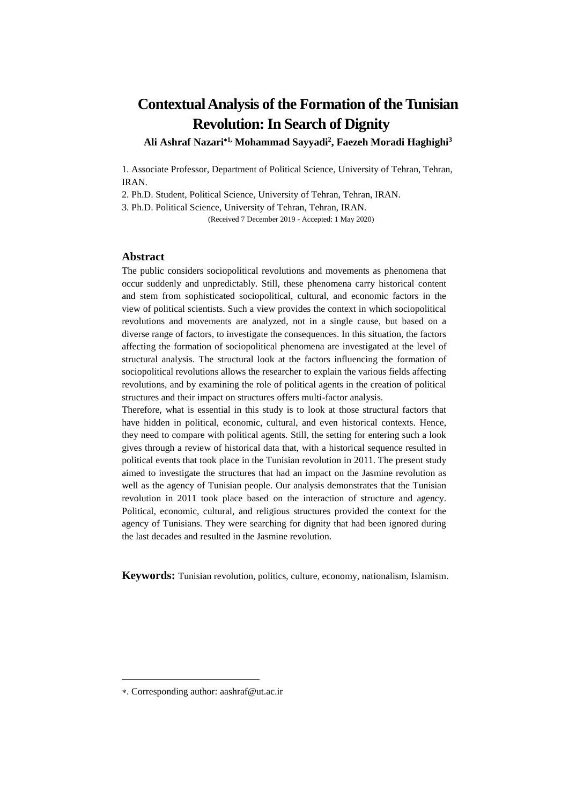# **Contextual Analysis of the Formation of the Tunisian Revolution: In Search of Dignity**

**Ali Ashraf Nazari1, Mohammad Sayyadi<sup>2</sup> , Faezeh Moradi Haghighi<sup>3</sup>**

1. Associate Professor, Department of Political Science, University of Tehran, Tehran, IRAN.

2. Ph.D. Student, Political Science, University of Tehran, Tehran, IRAN.

3. Ph.D. Political Science, University of Tehran, Tehran, IRAN.

(Received 7 December 2019 - Accepted: 1 May 2020)

#### **Abstract**

The public considers sociopolitical revolutions and movements as phenomena that occur suddenly and unpredictably. Still, these phenomena carry historical content and stem from sophisticated sociopolitical, cultural, and economic factors in the view of political scientists. Such a view provides the context in which sociopolitical revolutions and movements are analyzed, not in a single cause, but based on a diverse range of factors, to investigate the consequences. In this situation, the factors affecting the formation of sociopolitical phenomena are investigated at the level of structural analysis. The structural look at the factors influencing the formation of sociopolitical revolutions allows the researcher to explain the various fields affecting revolutions, and by examining the role of political agents in the creation of political structures and their impact on structures offers multi-factor analysis.

Therefore, what is essential in this study is to look at those structural factors that have hidden in political, economic, cultural, and even historical contexts. Hence, they need to compare with political agents. Still, the setting for entering such a look gives through a review of historical data that, with a historical sequence resulted in political events that took place in the Tunisian revolution in 2011. The present study aimed to investigate the structures that had an impact on the Jasmine revolution as well as the agency of Tunisian people. Our analysis demonstrates that the Tunisian revolution in 2011 took place based on the interaction of structure and agency. Political, economic, cultural, and religious structures provided the context for the agency of Tunisians. They were searching for dignity that had been ignored during the last decades and resulted in the Jasmine revolution.

**Keywords:** Tunisian revolution, politics, culture, economy, nationalism, Islamism.

<sup>.</sup> Corresponding author: aashraf@ut.ac.ir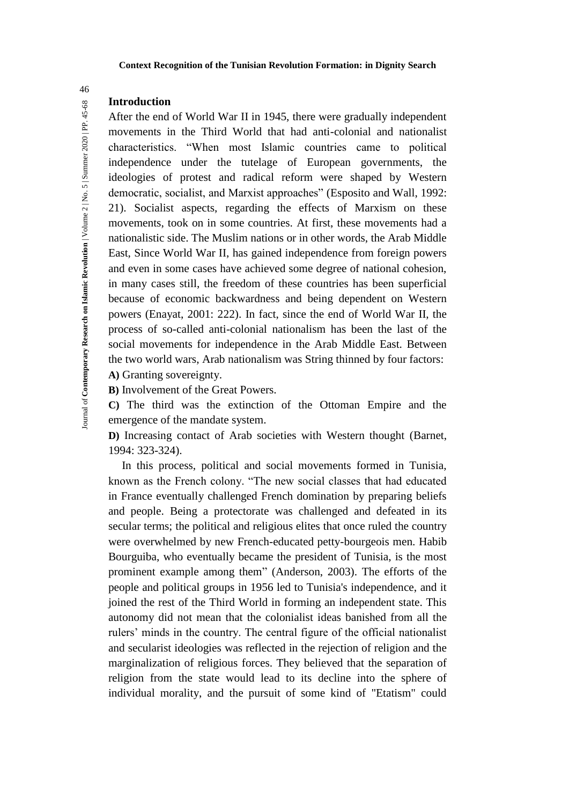# **Introduction**

After the end of World War II in 1945, there were gradually independent movements in the Third World that had anti-colonial and nationalist characteristics. "When most Islamic countries came to political independence under the tutelage of European governments, the ideologies of protest and radical reform were shaped by Western democratic, socialist, and Marxist approaches" (Esposito and Wall, 1992: 21). Socialist aspects, regarding the effects of Marxism on these movements, took on in some countries. At first, these movements had a nationalistic side. The Muslim nations or in other words, the Arab Middle East, Since World War II, has gained independence from foreign powers and even in some cases have achieved some degree of national cohesion, in many cases still, the freedom of these countries has been superficial because of economic backwardness and being dependent on Western powers (Enayat, 2001: 222). In fact, since the end of World War II, the process of so-called anti-colonial nationalism has been the last of the social movements for independence in the Arab Middle East. Between the two world wars, Arab nationalism was String thinned by four factors: **A)** Granting sovereignty.

**B)** Involvement of the Great Powers.

**C)** The third was the extinction of the Ottoman Empire and the emergence of the mandate system.

**D)** Increasing contact of Arab societies with Western thought (Barnet, 1994: 323-324).

In this process, political and social movements formed in Tunisia, known as the French colony. "The new social classes that had educated in France eventually challenged French domination by preparing beliefs and people. Being a protectorate was challenged and defeated in its secular terms; the political and religious elites that once ruled the country were overwhelmed by new French-educated petty-bourgeois men. Habib Bourguiba, who eventually became the president of Tunisia, is the most prominent example among them" (Anderson, 2003). The efforts of the people and political groups in 1956 led to Tunisia's independence, and it joined the rest of the Third World in forming an independent state. This autonomy did not mean that the colonialist ideas banished from all the rulers' minds in the country. The central figure of the official nationalist and secularist ideologies was reflected in the rejection of religion and the marginalization of religious forces. They believed that the separation of religion from the state would lead to its decline into the sphere of individual morality, and the pursuit of some kind of "Etatism" could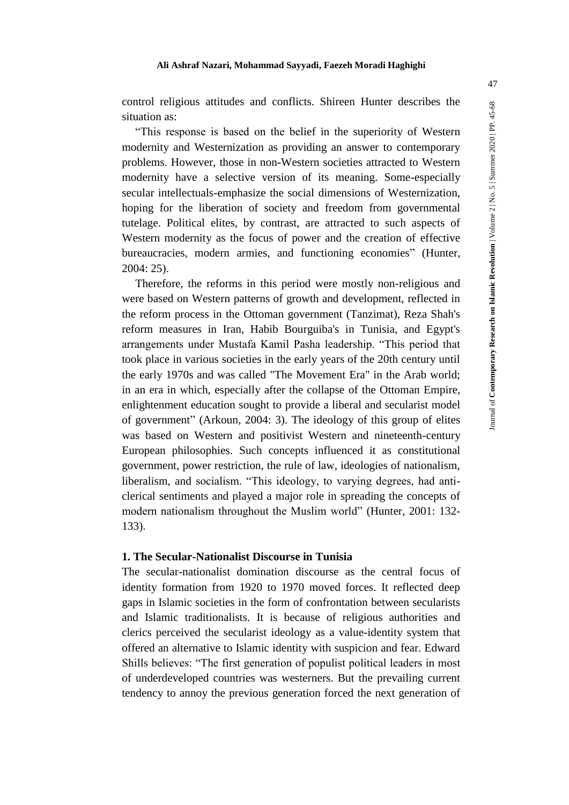"This response is based on the belief in the superiority of Western modernity and Westernization as providing an answer to contemporary problems. However, those in non-Western societies attracted to Western modernity have a selective version of its meaning. Some-especially secular intellectuals-emphasize the social dimensions of Westernization, hoping for the liberation of society and freedom from governmental tutelage. Political elites, by contrast, are attracted to such aspects of Western modernity as the focus of power and the creation of effective bureaucracies, modern armies, and functioning economies" (Hunter, 2004: 25).

Therefore, the reforms in this period were mostly non-religious and were based on Western patterns of growth and development, reflected in the reform process in the Ottoman government (Tanzimat), Reza Shah's reform measures in Iran, Habib Bourguiba's in Tunisia, and Egypt's arrangements under Mustafa Kamil Pasha leadership. "This period that took place in various societies in the early years of the 20th century until the early 1970s and was called "The Movement Era" in the Arab world; in an era in which, especially after the collapse of the Ottoman Empire, enlightenment education sought to provide a liberal and secularist model of government" (Arkoun, 2004: 3). The ideology of this group of elites was based on Western and positivist Western and nineteenth-century European philosophies. Such concepts influenced it as constitutional government, power restriction, the rule of law, ideologies of nationalism, liberalism, and socialism. "This ideology, to varying degrees, had anticlerical sentiments and played a major role in spreading the concepts of modern nationalism throughout the Muslim world" (Hunter, 2001: 132- 133).

# **1. The Secular-Nationalist Discourse in Tunisia**

The secular-nationalist domination discourse as the central focus of identity formation from 1920 to 1970 moved forces. It reflected deep gaps in Islamic societies in the form of confrontation between secularists and Islamic traditionalists. It is because of religious authorities and clerics perceived the secularist ideology as a value-identity system that offered an alternative to Islamic identity with suspicion and fear. Edward Shills believes: "The first generation of populist political leaders in most of underdeveloped countries was westerners. But the prevailing current tendency to annoy the previous generation forced the next generation of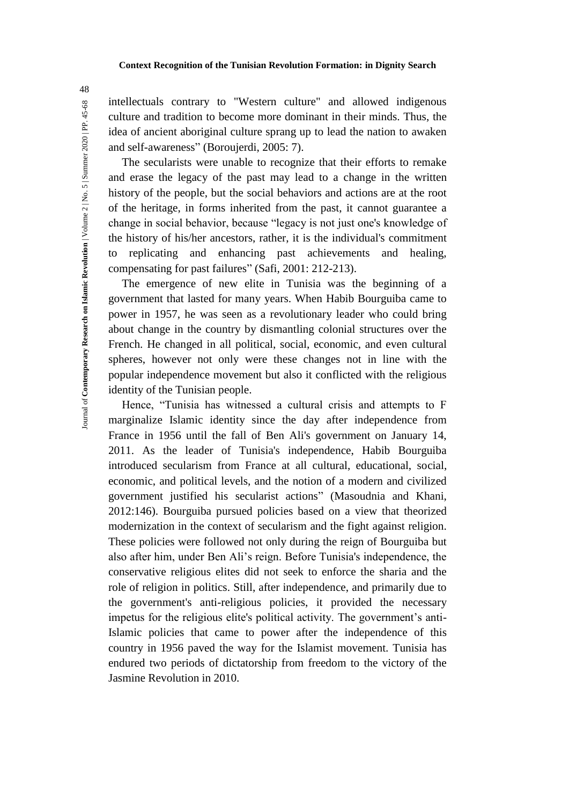intellectuals contrary to "Western culture" and allowed indigenous culture and tradition to become more dominant in their minds. Thus, the idea of ancient aboriginal culture sprang up to lead the nation to awaken and self-awareness" (Boroujerdi, 2005: 7).

The secularists were unable to recognize that their efforts to remake and erase the legacy of the past may lead to a change in the written history of the people, but the social behaviors and actions are at the root of the heritage, in forms inherited from the past, it cannot guarantee a change in social behavior, because "legacy is not just one's knowledge of the history of his/her ancestors, rather, it is the individual's commitment to replicating and enhancing past achievements and healing, compensating for past failures" (Safi, 2001: 212-213).

The emergence of new elite in Tunisia was the beginning of a government that lasted for many years. When Habib Bourguiba came to power in 1957, he was seen as a revolutionary leader who could bring about change in the country by dismantling colonial structures over the French. He changed in all political, social, economic, and even cultural spheres, however not only were these changes not in line with the popular independence movement but also it conflicted with the religious identity of the Tunisian people.

Hence, "Tunisia has witnessed a cultural crisis and attempts to F marginalize Islamic identity since the day after independence from France in 1956 until the fall of Ben Ali's government on January 14, 2011. As the leader of Tunisia's independence, Habib Bourguiba introduced secularism from France at all cultural, educational, social, economic, and political levels, and the notion of a modern and civilized government justified his secularist actions" (Masoudnia and Khani, 2012:146). Bourguiba pursued policies based on a view that theorized modernization in the context of secularism and the fight against religion. These policies were followed not only during the reign of Bourguiba but also after him, under Ben Ali's reign. Before Tunisia's independence, the conservative religious elites did not seek to enforce the sharia and the role of religion in politics. Still, after independence, and primarily due to the government's anti-religious policies, it provided the necessary impetus for the religious elite's political activity. The government's anti-Islamic policies that came to power after the independence of this country in 1956 paved the way for the Islamist movement. Tunisia has endured two periods of dictatorship from freedom to the victory of the Jasmine Revolution in 2010.

Journal of **Contemporary Research on Islamic Revolution** | Volume 2 | No. 5 | Summer 2020 | PP. 45-68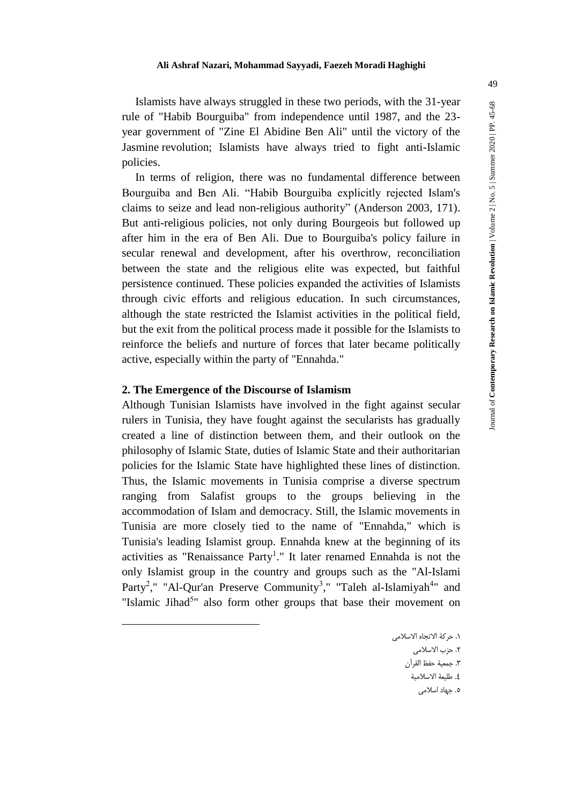Islamists have always struggled in these two periods, with the 31-year rule of "Habib Bourguiba" from independence until 1987, and the 23 year government of "Zine El Abidine Ben Ali" until the victory of the Jasmine revolution; Islamists have always tried to fight anti-Islamic policies.

In terms of religion, there was no fundamental difference between Bourguiba and Ben Ali. "Habib Bourguiba explicitly rejected Islam's claims to seize and lead non-religious authority" (Anderson 2003, 171). But anti-religious policies, not only during Bourgeois but followed up after him in the era of Ben Ali. Due to Bourguiba's policy failure in secular renewal and development, after his overthrow, reconciliation between the state and the religious elite was expected, but faithful persistence continued. These policies expanded the activities of Islamists through civic efforts and religious education. In such circumstances, although the state restricted the Islamist activities in the political field, but the exit from the political process made it possible for the Islamists to reinforce the beliefs and nurture of forces that later became politically active, especially within the party of "Ennahda."

# **2. The Emergence of the Discourse of Islamism**

<u>.</u>

Although Tunisian Islamists have involved in the fight against secular rulers in Tunisia, they have fought against the secularists has gradually created a line of distinction between them, and their outlook on the philosophy of Islamic State, duties of Islamic State and their authoritarian policies for the Islamic State have highlighted these lines of distinction. Thus, the Islamic movements in Tunisia comprise a diverse spectrum ranging from Salafist groups to the groups believing in the accommodation of Islam and democracy. Still, the Islamic movements in Tunisia are more closely tied to the name of "Ennahda," which is Tunisia's leading Islamist group. Ennahda knew at the beginning of its activities as "Renaissance Party<sup>1</sup>." It later renamed Ennahda is not the only Islamist group in the country and groups such as the "Al-Islami Party<sup>2</sup>," "Al-Qur'an Preserve Community<sup>3</sup>," "Taleh al-Islamiyah<sup>4</sup>" and "Islamic Jihad<sup>5</sup>" also form other groups that base their movement on

۲. حزب الاسلام*ی* 

.3 جمعیة حفظ القرآن

- ٤. طليعة الاسلامية
	- .5 جهاد اسالمی

<sup>.1</sup> حرکة االتجاه االسالمی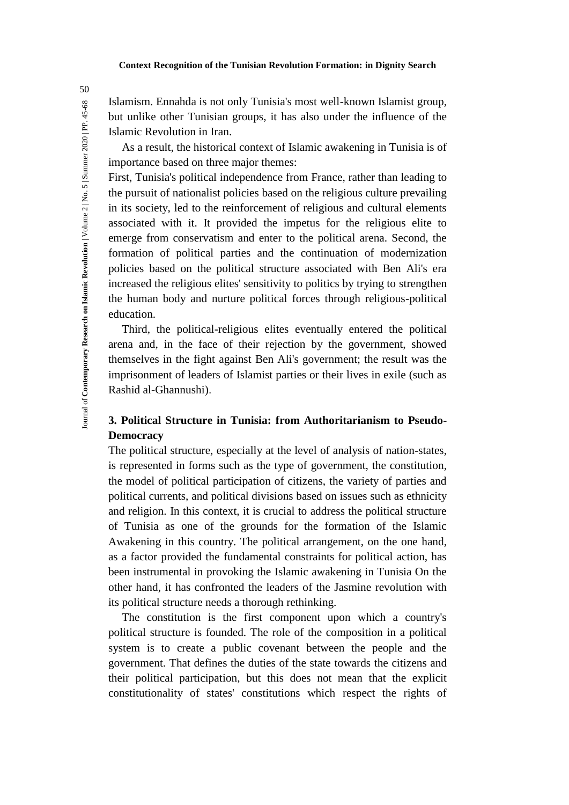Islamism. Ennahda is not only Tunisia's most well-known Islamist group, but unlike other Tunisian groups, it has also under the influence of the Islamic Revolution in Iran.

As a result, the historical context of Islamic awakening in Tunisia is of importance based on three major themes:

First, Tunisia's political independence from France, rather than leading to the pursuit of nationalist policies based on the religious culture prevailing in its society, led to the reinforcement of religious and cultural elements associated with it. It provided the impetus for the religious elite to emerge from conservatism and enter to the political arena. Second, the formation of political parties and the continuation of modernization policies based on the political structure associated with Ben Ali's era increased the religious elites' sensitivity to politics by trying to strengthen the human body and nurture political forces through religious-political education.

Third, the political-religious elites eventually entered the political arena and, in the face of their rejection by the government, showed themselves in the fight against Ben Ali's government; the result was the imprisonment of leaders of Islamist parties or their lives in exile (such as Rashid al-Ghannushi).

# **3. Political Structure in Tunisia: from Authoritarianism to Pseudo-Democracy**

The political structure, especially at the level of analysis of nation-states, is represented in forms such as the type of government, the constitution, the model of political participation of citizens, the variety of parties and political currents, and political divisions based on issues such as ethnicity and religion. In this context, it is crucial to address the political structure of Tunisia as one of the grounds for the formation of the Islamic Awakening in this country. The political arrangement, on the one hand, as a factor provided the fundamental constraints for political action, has been instrumental in provoking the Islamic awakening in Tunisia On the other hand, it has confronted the leaders of the Jasmine revolution with its political structure needs a thorough rethinking.

The constitution is the first component upon which a country's political structure is founded. The role of the composition in a political system is to create a public covenant between the people and the government. That defines the duties of the state towards the citizens and their political participation, but this does not mean that the explicit constitutionality of states' constitutions which respect the rights of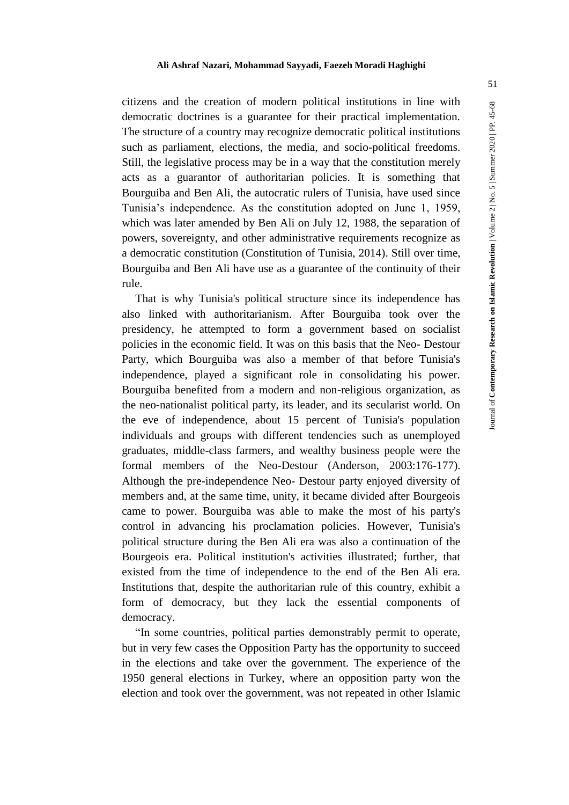citizens and the creation of modern political institutions in line with democratic doctrines is a guarantee for their practical implementation. The structure of a country may recognize democratic political institutions such as parliament, elections, the media, and socio-political freedoms. Still, the legislative process may be in a way that the constitution merely acts as a guarantor of authoritarian policies. It is something that Bourguiba and Ben Ali, the autocratic rulers of Tunisia, have used since Tunisia's independence. As the constitution adopted on June 1, 1959, which was later amended by Ben Ali on July 12, 1988, the separation of powers, sovereignty, and other administrative requirements recognize as a democratic constitution (Constitution of Tunisia, 2014). Still over time, Bourguiba and Ben Ali have use as a guarantee of the continuity of their rule.

That is why Tunisia's political structure since its independence has also linked with authoritarianism. After Bourguiba took over the presidency, he attempted to form a government based on socialist policies in the economic field. It was on this basis that the Neo- Destour Party, which Bourguiba was also a member of that before Tunisia's independence, played a significant role in consolidating his power. Bourguiba benefited from a modern and non-religious organization, as the neo-nationalist political party, its leader, and its secularist world. On the eve of independence, about 15 percent of Tunisia's population individuals and groups with different tendencies such as unemployed graduates, middle-class farmers, and wealthy business people were the formal members of the Neo-Destour (Anderson, 2003:176-177). Although the pre-independence Neo- Destour party enjoyed diversity of members and, at the same time, unity, it became divided after Bourgeois came to power. Bourguiba was able to make the most of his party's control in advancing his proclamation policies. However, Tunisia's political structure during the Ben Ali era was also a continuation of the Bourgeois era. Political institution's activities illustrated; further, that existed from the time of independence to the end of the Ben Ali era. Institutions that, despite the authoritarian rule of this country, exhibit a form of democracy, but they lack the essential components of democracy.

"In some countries, political parties demonstrably permit to operate, but in very few cases the Opposition Party has the opportunity to succeed in the elections and take over the government. The experience of the 1950 general elections in Turkey, where an opposition party won the election and took over the government, was not repeated in other Islamic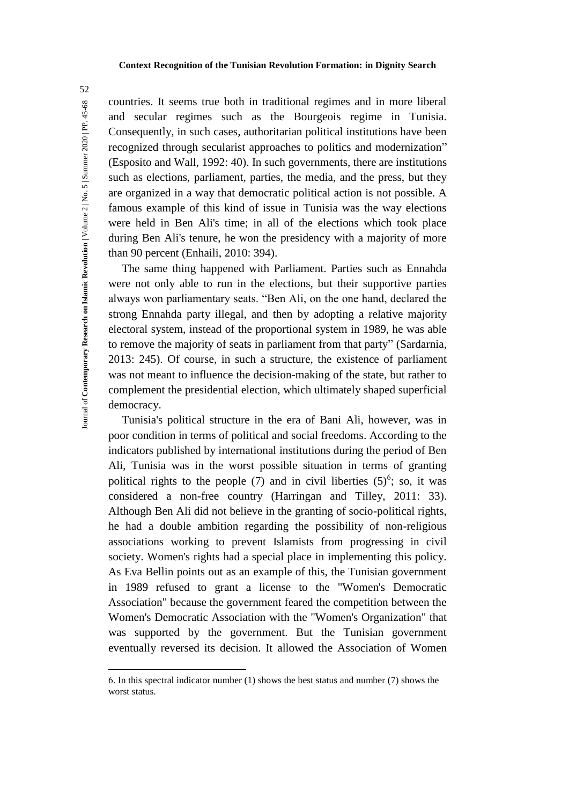countries. It seems true both in traditional regimes and in more liberal and secular regimes such as the Bourgeois regime in Tunisia. Consequently, in such cases, authoritarian political institutions have been recognized through secularist approaches to politics and modernization" (Esposito and Wall, 1992: 40). In such governments, there are institutions such as elections, parliament, parties, the media, and the press, but they are organized in a way that democratic political action is not possible. A famous example of this kind of issue in Tunisia was the way elections were held in Ben Ali's time; in all of the elections which took place during Ben Ali's tenure, he won the presidency with a majority of more than 90 percent (Enhaili, 2010: 394).

The same thing happened with Parliament. Parties such as Ennahda were not only able to run in the elections, but their supportive parties always won parliamentary seats. "Ben Ali, on the one hand, declared the strong Ennahda party illegal, and then by adopting a relative majority electoral system, instead of the proportional system in 1989, he was able to remove the majority of seats in parliament from that party" (Sardarnia, 2013: 245). Of course, in such a structure, the existence of parliament was not meant to influence the decision-making of the state, but rather to complement the presidential election, which ultimately shaped superficial democracy.

Tunisia's political structure in the era of Bani Ali, however, was in poor condition in terms of political and social freedoms. According to the indicators published by international institutions during the period of Ben Ali, Tunisia was in the worst possible situation in terms of granting political rights to the people  $(7)$  and in civil liberties  $(5)^6$ ; so, it was considered a non-free country (Harringan and Tilley, 2011: 33). Although Ben Ali did not believe in the granting of socio-political rights, he had a double ambition regarding the possibility of non-religious associations working to prevent Islamists from progressing in civil society. Women's rights had a special place in implementing this policy. As Eva Bellin points out as an example of this, the Tunisian government in 1989 refused to grant a license to the "Women's Democratic Association" because the government feared the competition between the Women's Democratic Association with the "Women's Organization" that was supported by the government. But the Tunisian government eventually reversed its decision. It allowed the Association of Women

 $\overline{a}$ 

<sup>6.</sup> In this spectral indicator number (1) shows the best status and number (7) shows the worst status.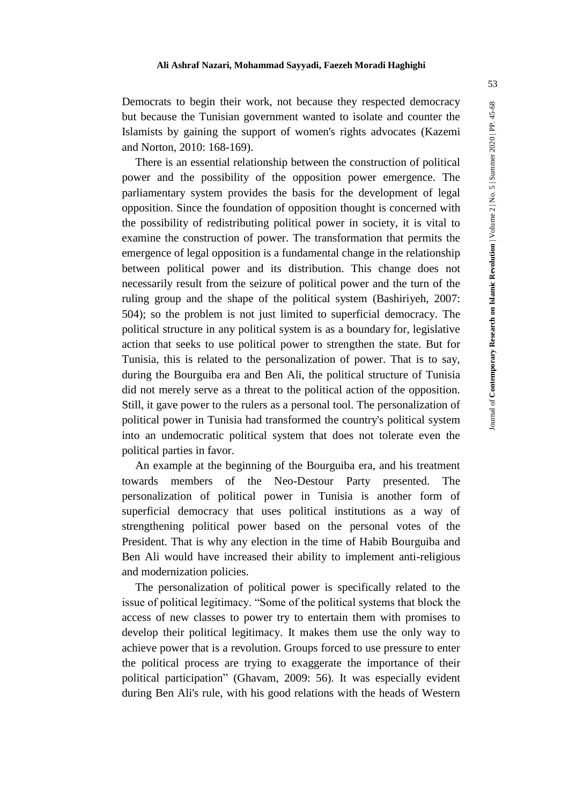Democrats to begin their work, not because they respected democracy but because the Tunisian government wanted to isolate and counter the Islamists by gaining the support of women's rights advocates (Kazemi and Norton, 2010: 168-169).

There is an essential relationship between the construction of political power and the possibility of the opposition power emergence. The parliamentary system provides the basis for the development of legal opposition. Since the foundation of opposition thought is concerned with the possibility of redistributing political power in society, it is vital to examine the construction of power. The transformation that permits the emergence of legal opposition is a fundamental change in the relationship between political power and its distribution. This change does not necessarily result from the seizure of political power and the turn of the ruling group and the shape of the political system (Bashiriyeh, 2007: 504); so the problem is not just limited to superficial democracy. The political structure in any political system is as a boundary for, legislative action that seeks to use political power to strengthen the state. But for Tunisia, this is related to the personalization of power. That is to say, during the Bourguiba era and Ben Ali, the political structure of Tunisia did not merely serve as a threat to the political action of the opposition. Still, it gave power to the rulers as a personal tool. The personalization of political power in Tunisia had transformed the country's political system into an undemocratic political system that does not tolerate even the political parties in favor.

An example at the beginning of the Bourguiba era, and his treatment towards members of the Neo-Destour Party presented. The personalization of political power in Tunisia is another form of superficial democracy that uses political institutions as a way of strengthening political power based on the personal votes of the President. That is why any election in the time of Habib Bourguiba and Ben Ali would have increased their ability to implement anti-religious and modernization policies.

The personalization of political power is specifically related to the issue of political legitimacy. "Some of the political systems that block the access of new classes to power try to entertain them with promises to develop their political legitimacy. It makes them use the only way to achieve power that is a revolution. Groups forced to use pressure to enter the political process are trying to exaggerate the importance of their political participation" (Ghavam, 2009: 56). It was especially evident during Ben Ali's rule, with his good relations with the heads of Western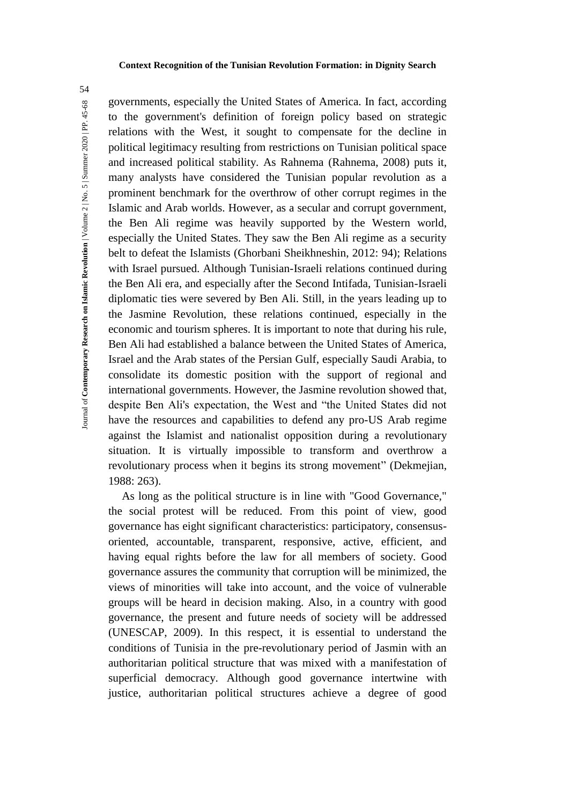governments, especially the United States of America. In fact, according to the government's definition of foreign policy based on strategic relations with the West, it sought to compensate for the decline in political legitimacy resulting from restrictions on Tunisian political space and increased political stability. As Rahnema (Rahnema, 2008) puts it, many analysts have considered the Tunisian popular revolution as a prominent benchmark for the overthrow of other corrupt regimes in the Islamic and Arab worlds. However, as a secular and corrupt government, the Ben Ali regime was heavily supported by the Western world, especially the United States. They saw the Ben Ali regime as a security belt to defeat the Islamists (Ghorbani Sheikhneshin, 2012: 94); Relations with Israel pursued. Although Tunisian-Israeli relations continued during the Ben Ali era, and especially after the Second Intifada, Tunisian-Israeli diplomatic ties were severed by Ben Ali. Still, in the years leading up to the Jasmine Revolution, these relations continued, especially in the economic and tourism spheres. It is important to note that during his rule, Ben Ali had established a balance between the United States of America, Israel and the Arab states of the Persian Gulf, especially Saudi Arabia, to consolidate its domestic position with the support of regional and international governments. However, the Jasmine revolution showed that, despite Ben Ali's expectation, the West and "the United States did not have the resources and capabilities to defend any pro-US Arab regime against the Islamist and nationalist opposition during a revolutionary situation. It is virtually impossible to transform and overthrow a revolutionary process when it begins its strong movement" (Dekmejian, 1988: 263).

As long as the political structure is in line with "Good Governance," the social protest will be reduced. From this point of view, good governance has eight significant characteristics: participatory, consensusoriented, accountable, transparent, responsive, active, efficient, and having equal rights before the law for all members of society. Good governance assures the community that corruption will be minimized, the views of minorities will take into account, and the voice of vulnerable groups will be heard in decision making. Also, in a country with good governance, the present and future needs of society will be addressed (UNESCAP, 2009). In this respect, it is essential to understand the conditions of Tunisia in the pre-revolutionary period of Jasmin with an authoritarian political structure that was mixed with a manifestation of superficial democracy. Although good governance intertwine with justice, authoritarian political structures achieve a degree of good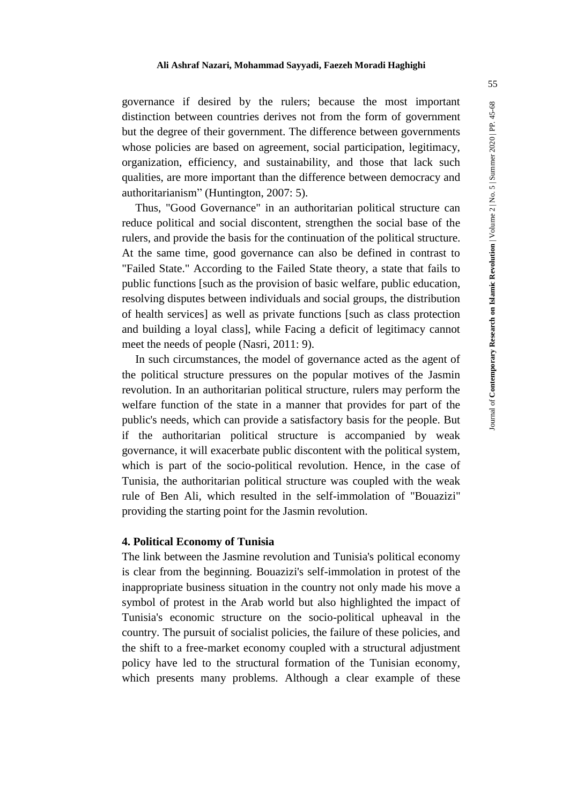governance if desired by the rulers; because the most important distinction between countries derives not from the form of government but the degree of their government. The difference between governments whose policies are based on agreement, social participation, legitimacy, organization, efficiency, and sustainability, and those that lack such qualities, are more important than the difference between democracy and authoritarianism" (Huntington, 2007: 5).

Thus, "Good Governance" in an authoritarian political structure can reduce political and social discontent, strengthen the social base of the rulers, and provide the basis for the continuation of the political structure. At the same time, good governance can also be defined in contrast to "Failed State." According to the Failed State theory, a state that fails to public functions [such as the provision of basic welfare, public education, resolving disputes between individuals and social groups, the distribution of health services] as well as private functions [such as class protection and building a loyal class], while Facing a deficit of legitimacy cannot meet the needs of people (Nasri, 2011: 9).

In such circumstances, the model of governance acted as the agent of the political structure pressures on the popular motives of the Jasmin revolution. In an authoritarian political structure, rulers may perform the welfare function of the state in a manner that provides for part of the public's needs, which can provide a satisfactory basis for the people. But if the authoritarian political structure is accompanied by weak governance, it will exacerbate public discontent with the political system, which is part of the socio-political revolution. Hence, in the case of Tunisia, the authoritarian political structure was coupled with the weak rule of Ben Ali, which resulted in the self-immolation of "Bouazizi" providing the starting point for the Jasmin revolution.

# **4. Political Economy of Tunisia**

The link between the Jasmine revolution and Tunisia's political economy is clear from the beginning. Bouazizi's self-immolation in protest of the inappropriate business situation in the country not only made his move a symbol of protest in the Arab world but also highlighted the impact of Tunisia's economic structure on the socio-political upheaval in the country. The pursuit of socialist policies, the failure of these policies, and the shift to a free-market economy coupled with a structural adjustment policy have led to the structural formation of the Tunisian economy, which presents many problems. Although a clear example of these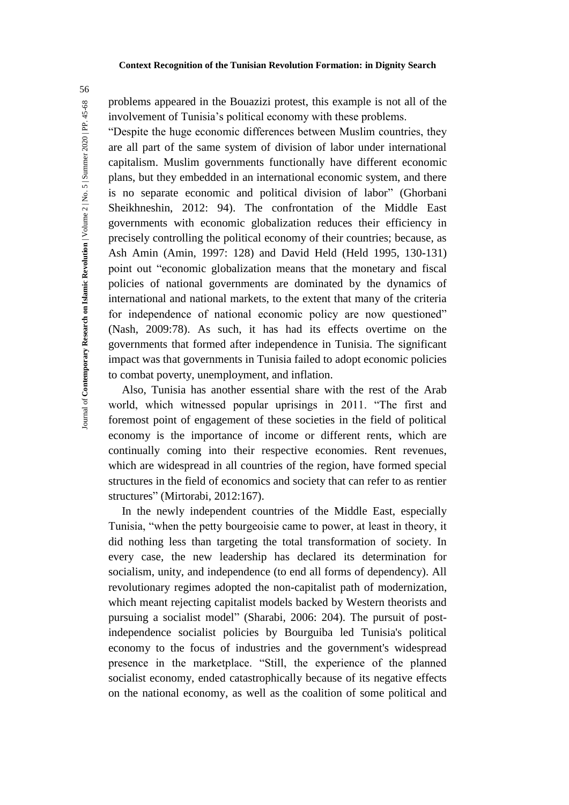problems appeared in the Bouazizi protest, this example is not all of the involvement of Tunisia's political economy with these problems.

"Despite the huge economic differences between Muslim countries, they are all part of the same system of division of labor under international capitalism. Muslim governments functionally have different economic plans, but they embedded in an international economic system, and there is no separate economic and political division of labor" (Ghorbani Sheikhneshin, 2012: 94). The confrontation of the Middle East governments with economic globalization reduces their efficiency in precisely controlling the political economy of their countries; because, as Ash Amin (Amin, 1997: 128) and David Held (Held 1995, 130-131) point out "economic globalization means that the monetary and fiscal policies of national governments are dominated by the dynamics of international and national markets, to the extent that many of the criteria for independence of national economic policy are now questioned" (Nash, 2009:78). As such, it has had its effects overtime on the governments that formed after independence in Tunisia. The significant impact was that governments in Tunisia failed to adopt economic policies to combat poverty, unemployment, and inflation.

Also, Tunisia has another essential share with the rest of the Arab world, which witnessed popular uprisings in 2011. "The first and foremost point of engagement of these societies in the field of political economy is the importance of income or different rents, which are continually coming into their respective economies. Rent revenues, which are widespread in all countries of the region, have formed special structures in the field of economics and society that can refer to as rentier structures" (Mirtorabi, 2012:167).

In the newly independent countries of the Middle East, especially Tunisia, "when the petty bourgeoisie came to power, at least in theory, it did nothing less than targeting the total transformation of society. In every case, the new leadership has declared its determination for socialism, unity, and independence (to end all forms of dependency). All revolutionary regimes adopted the non-capitalist path of modernization, which meant rejecting capitalist models backed by Western theorists and pursuing a socialist model" (Sharabi, 2006: 204). The pursuit of postindependence socialist policies by Bourguiba led Tunisia's political economy to the focus of industries and the government's widespread presence in the marketplace. "Still, the experience of the planned socialist economy, ended catastrophically because of its negative effects on the national economy, as well as the coalition of some political and

Journal of **Contemporary Research on Islamic Revolution** | Volume 2 | No. 5 | Summer 2020 | PP. 45-68

fournal of Contemporary Research on Islamic Revolution | Volume 2 | No. 5 | Summer 2020 | PP. 45-68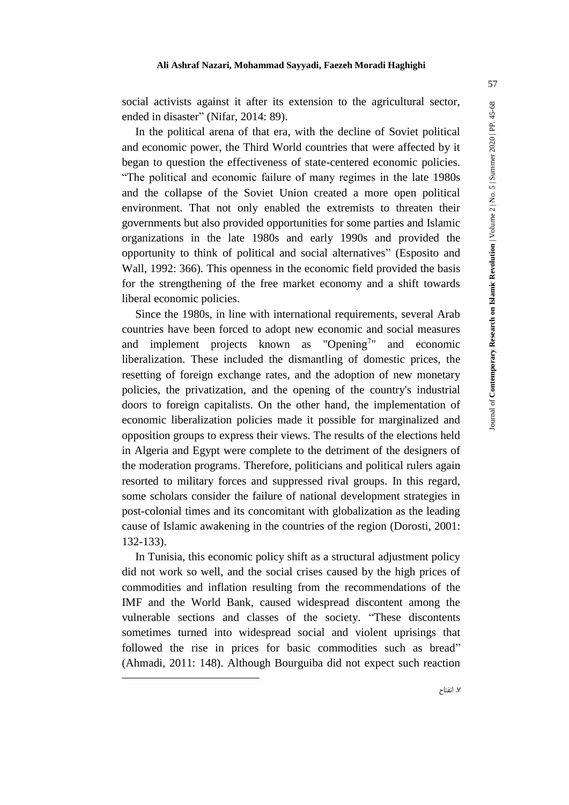social activists against it after its extension to the agricultural sector, ended in disaster" (Nifar, 2014: 89).

In the political arena of that era, with the decline of Soviet political and economic power, the Third World countries that were affected by it began to question the effectiveness of state-centered economic policies. "The political and economic failure of many regimes in the late 1980s and the collapse of the Soviet Union created a more open political environment. That not only enabled the extremists to threaten their governments but also provided opportunities for some parties and Islamic organizations in the late 1980s and early 1990s and provided the opportunity to think of political and social alternatives" (Esposito and Wall, 1992: 366). This openness in the economic field provided the basis for the strengthening of the free market economy and a shift towards liberal economic policies.

Since the 1980s, in line with international requirements, several Arab countries have been forced to adopt new economic and social measures and implement projects known as " $\text{Opening}^{\text{7}}$ " and economic liberalization. These included the dismantling of domestic prices, the resetting of foreign exchange rates, and the adoption of new monetary policies, the privatization, and the opening of the country's industrial doors to foreign capitalists. On the other hand, the implementation of economic liberalization policies made it possible for marginalized and opposition groups to express their views. The results of the elections held in Algeria and Egypt were complete to the detriment of the designers of the moderation programs. Therefore, politicians and political rulers again resorted to military forces and suppressed rival groups. In this regard, some scholars consider the failure of national development strategies in post-colonial times and its concomitant with globalization as the leading cause of Islamic awakening in the countries of the region (Dorosti, 2001: 132-133).

In Tunisia, this economic policy shift as a structural adjustment policy did not work so well, and the social crises caused by the high prices of commodities and inflation resulting from the recommendations of the IMF and the World Bank, caused widespread discontent among the vulnerable sections and classes of the society. "These discontents sometimes turned into widespread social and violent uprisings that followed the rise in prices for basic commodities such as bread" (Ahmadi, 2011: 148). Although Bourguiba did not expect such reaction

-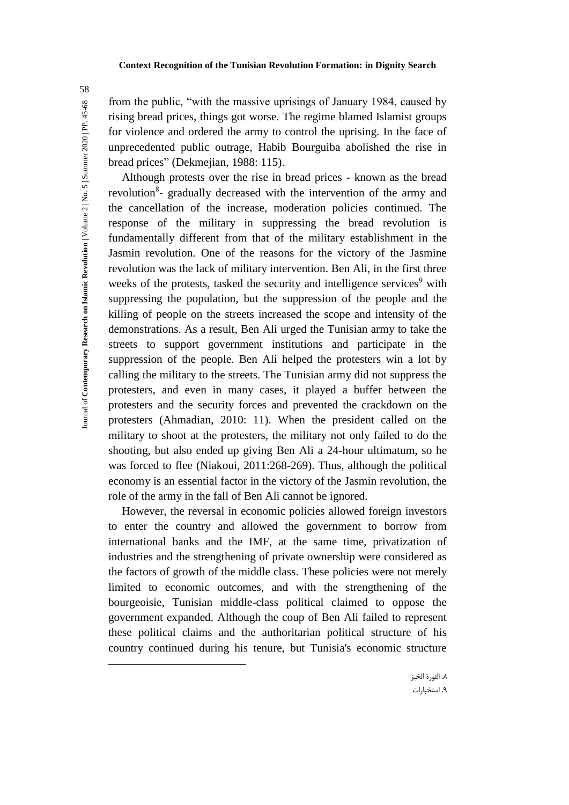from the public, "with the massive uprisings of January 1984, caused by rising bread prices, things got worse. The regime blamed Islamist groups for violence and ordered the army to control the uprising. In the face of unprecedented public outrage, Habib Bourguiba abolished the rise in bread prices" (Dekmejian, 1988: 115).

Although protests over the rise in bread prices - known as the bread revolution<sup>8</sup>- gradually decreased with the intervention of the army and the cancellation of the increase, moderation policies continued. The response of the military in suppressing the bread revolution is fundamentally different from that of the military establishment in the Jasmin revolution. One of the reasons for the victory of the Jasmine revolution was the lack of military intervention. Ben Ali, in the first three weeks of the protests, tasked the security and intelligence services<sup>9</sup> with suppressing the population, but the suppression of the people and the killing of people on the streets increased the scope and intensity of the demonstrations. As a result, Ben Ali urged the Tunisian army to take the streets to support government institutions and participate in the suppression of the people. Ben Ali helped the protesters win a lot by calling the military to the streets. The Tunisian army did not suppress the protesters, and even in many cases, it played a buffer between the protesters and the security forces and prevented the crackdown on the protesters (Ahmadian, 2010: 11). When the president called on the military to shoot at the protesters, the military not only failed to do the shooting, but also ended up giving Ben Ali a 24-hour ultimatum, so he was forced to flee (Niakoui, 2011:268-269). Thus, although the political economy is an essential factor in the victory of the Jasmin revolution, the role of the army in the fall of Ben Ali cannot be ignored.

However, the reversal in economic policies allowed foreign investors to enter the country and allowed the government to borrow from international banks and the IMF, at the same time, privatization of industries and the strengthening of private ownership were considered as the factors of growth of the middle class. These policies were not merely limited to economic outcomes, and with the strengthening of the bourgeoisie, Tunisian middle-class political claimed to oppose the government expanded. Although the coup of Ben Ali failed to represent these political claims and the authoritarian political structure of his country continued during his tenure, but Tunisia's economic structure

 $\overline{a}$ 

58

.8 الثورة الخبز .9 استخبارات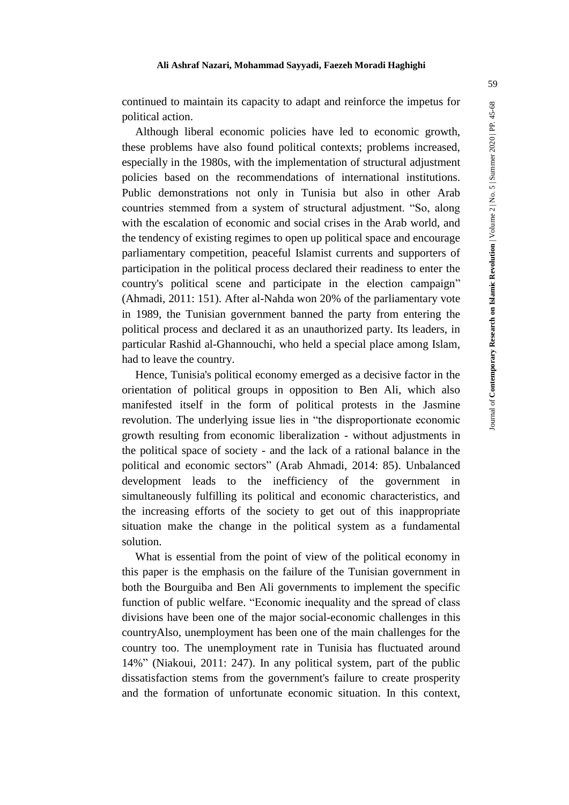continued to maintain its capacity to adapt and reinforce the impetus for political action.

Although liberal economic policies have led to economic growth, these problems have also found political contexts; problems increased, especially in the 1980s, with the implementation of structural adjustment policies based on the recommendations of international institutions. Public demonstrations not only in Tunisia but also in other Arab countries stemmed from a system of structural adjustment. "So, along with the escalation of economic and social crises in the Arab world, and the tendency of existing regimes to open up political space and encourage parliamentary competition, peaceful Islamist currents and supporters of participation in the political process declared their readiness to enter the country's political scene and participate in the election campaign" (Ahmadi, 2011: 151). After al-Nahda won 20% of the parliamentary vote in 1989, the Tunisian government banned the party from entering the political process and declared it as an unauthorized party. Its leaders, in particular Rashid al-Ghannouchi, who held a special place among Islam, had to leave the country.

Hence, Tunisia's political economy emerged as a decisive factor in the orientation of political groups in opposition to Ben Ali, which also manifested itself in the form of political protests in the Jasmine revolution. The underlying issue lies in "the disproportionate economic growth resulting from economic liberalization - without adjustments in the political space of society - and the lack of a rational balance in the political and economic sectors" (Arab Ahmadi, 2014: 85). Unbalanced development leads to the inefficiency of the government in simultaneously fulfilling its political and economic characteristics, and the increasing efforts of the society to get out of this inappropriate situation make the change in the political system as a fundamental solution.

What is essential from the point of view of the political economy in this paper is the emphasis on the failure of the Tunisian government in both the Bourguiba and Ben Ali governments to implement the specific function of public welfare. "Economic inequality and the spread of class divisions have been one of the major social-economic challenges in this countryAlso, unemployment has been one of the main challenges for the country too. The unemployment rate in Tunisia has fluctuated around 14%" (Niakoui, 2011: 247). In any political system, part of the public dissatisfaction stems from the government's failure to create prosperity and the formation of unfortunate economic situation. In this context,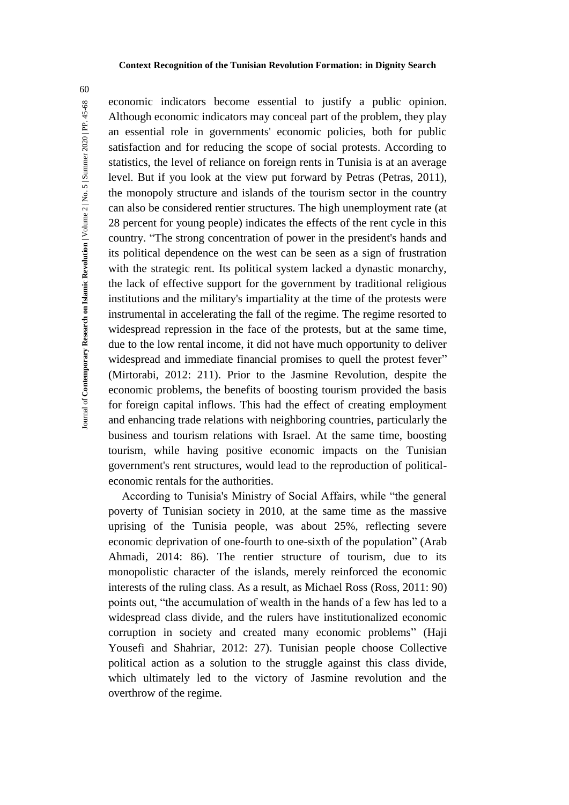60

economic indicators become essential to justify a public opinion. Although economic indicators may conceal part of the problem, they play an essential role in governments' economic policies, both for public satisfaction and for reducing the scope of social protests. According to statistics, the level of reliance on foreign rents in Tunisia is at an average level. But if you look at the view put forward by Petras (Petras, 2011), the monopoly structure and islands of the tourism sector in the country can also be considered rentier structures. The high unemployment rate (at 28 percent for young people) indicates the effects of the rent cycle in this country. "The strong concentration of power in the president's hands and its political dependence on the west can be seen as a sign of frustration with the strategic rent. Its political system lacked a dynastic monarchy, the lack of effective support for the government by traditional religious institutions and the military's impartiality at the time of the protests were instrumental in accelerating the fall of the regime. The regime resorted to widespread repression in the face of the protests, but at the same time, due to the low rental income, it did not have much opportunity to deliver widespread and immediate financial promises to quell the protest fever" (Mirtorabi, 2012: 211). Prior to the Jasmine Revolution, despite the economic problems, the benefits of boosting tourism provided the basis for foreign capital inflows. This had the effect of creating employment and enhancing trade relations with neighboring countries, particularly the business and tourism relations with Israel. At the same time, boosting tourism, while having positive economic impacts on the Tunisian government's rent structures, would lead to the reproduction of politicaleconomic rentals for the authorities.

According to Tunisia's Ministry of Social Affairs, while "the general poverty of Tunisian society in 2010, at the same time as the massive uprising of the Tunisia people, was about 25%, reflecting severe economic deprivation of one-fourth to one-sixth of the population" (Arab Ahmadi, 2014: 86). The rentier structure of tourism, due to its monopolistic character of the islands, merely reinforced the economic interests of the ruling class. As a result, as Michael Ross (Ross, 2011: 90) points out, "the accumulation of wealth in the hands of a few has led to a widespread class divide, and the rulers have institutionalized economic corruption in society and created many economic problems" (Haji Yousefi and Shahriar, 2012: 27). Tunisian people choose Collective political action as a solution to the struggle against this class divide, which ultimately led to the victory of Jasmine revolution and the overthrow of the regime.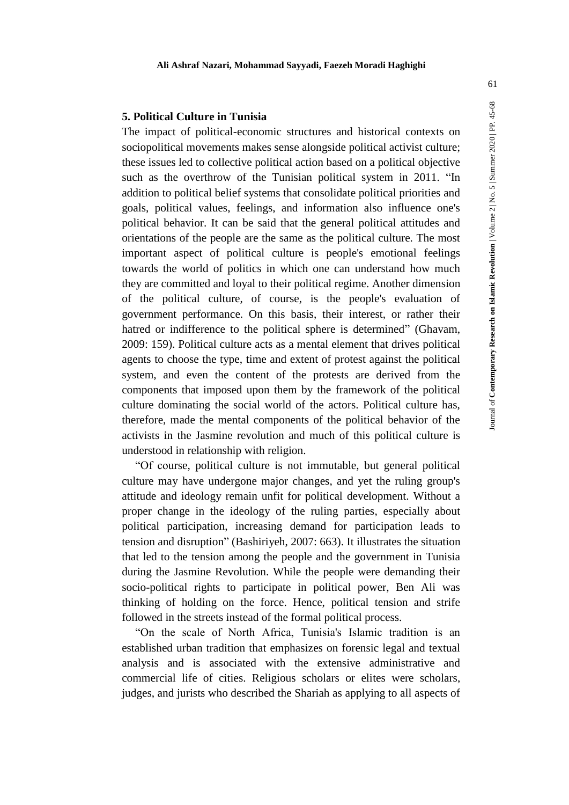# **5. Political Culture in Tunisia**

The impact of political-economic structures and historical contexts on sociopolitical movements makes sense alongside political activist culture; these issues led to collective political action based on a political objective such as the overthrow of the Tunisian political system in 2011. "In addition to political belief systems that consolidate political priorities and goals, political values, feelings, and information also influence one's political behavior. It can be said that the general political attitudes and orientations of the people are the same as the political culture. The most important aspect of political culture is people's emotional feelings towards the world of politics in which one can understand how much they are committed and loyal to their political regime. Another dimension of the political culture, of course, is the people's evaluation of government performance. On this basis, their interest, or rather their hatred or indifference to the political sphere is determined" (Ghavam, 2009: 159). Political culture acts as a mental element that drives political agents to choose the type, time and extent of protest against the political system, and even the content of the protests are derived from the components that imposed upon them by the framework of the political culture dominating the social world of the actors. Political culture has, therefore, made the mental components of the political behavior of the activists in the Jasmine revolution and much of this political culture is understood in relationship with religion.

"Of course, political culture is not immutable, but general political culture may have undergone major changes, and yet the ruling group's attitude and ideology remain unfit for political development. Without a proper change in the ideology of the ruling parties, especially about political participation, increasing demand for participation leads to tension and disruption" (Bashiriyeh, 2007: 663). It illustrates the situation that led to the tension among the people and the government in Tunisia during the Jasmine Revolution. While the people were demanding their socio-political rights to participate in political power, Ben Ali was thinking of holding on the force. Hence, political tension and strife followed in the streets instead of the formal political process.

"On the scale of North Africa, Tunisia's Islamic tradition is an established urban tradition that emphasizes on forensic legal and textual analysis and is associated with the extensive administrative and commercial life of cities. Religious scholars or elites were scholars, judges, and jurists who described the Shariah as applying to all aspects of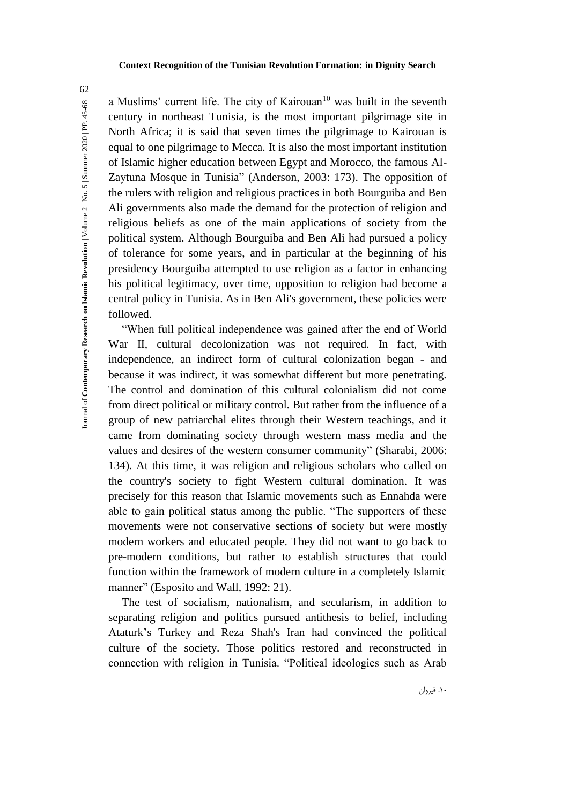a Muslims' current life. The city of Kairouan<sup>10</sup> was built in the seventh century in northeast Tunisia, is the most important pilgrimage site in North Africa; it is said that seven times the pilgrimage to Kairouan is equal to one pilgrimage to Mecca. It is also the most important institution of Islamic higher education between Egypt and Morocco, the famous Al-Zaytuna Mosque in Tunisia" (Anderson, 2003: 173). The opposition of the rulers with religion and religious practices in both Bourguiba and Ben Ali governments also made the demand for the protection of religion and religious beliefs as one of the main applications of society from the political system. Although Bourguiba and Ben Ali had pursued a policy of tolerance for some years, and in particular at the beginning of his presidency Bourguiba attempted to use religion as a factor in enhancing his political legitimacy, over time, opposition to religion had become a central policy in Tunisia. As in Ben Ali's government, these policies were followed.

"When full political independence was gained after the end of World War II, cultural decolonization was not required. In fact, with independence, an indirect form of cultural colonization began - and because it was indirect, it was somewhat different but more penetrating. The control and domination of this cultural colonialism did not come from direct political or military control. But rather from the influence of a group of new patriarchal elites through their Western teachings, and it came from dominating society through western mass media and the values and desires of the western consumer community" (Sharabi, 2006: 134). At this time, it was religion and religious scholars who called on the country's society to fight Western cultural domination. It was precisely for this reason that Islamic movements such as Ennahda were able to gain political status among the public. "The supporters of these movements were not conservative sections of society but were mostly modern workers and educated people. They did not want to go back to pre-modern conditions, but rather to establish structures that could function within the framework of modern culture in a completely Islamic manner" (Esposito and Wall, 1992: 21).

The test of socialism, nationalism, and secularism, in addition to separating religion and politics pursued antithesis to belief, including Ataturk's Turkey and Reza Shah's Iran had convinced the political culture of the society. Those politics restored and reconstructed in connection with religion in Tunisia. "Political ideologies such as Arab

62

.10 قیروان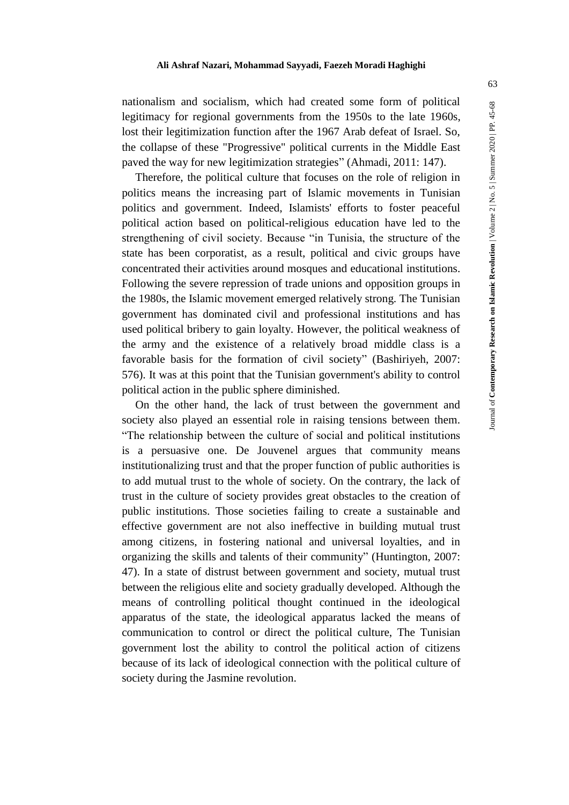nationalism and socialism, which had created some form of political legitimacy for regional governments from the 1950s to the late 1960s, lost their legitimization function after the 1967 Arab defeat of Israel. So, the collapse of these "Progressive" political currents in the Middle East paved the way for new legitimization strategies" (Ahmadi, 2011: 147).

Therefore, the political culture that focuses on the role of religion in politics means the increasing part of Islamic movements in Tunisian politics and government. Indeed, Islamists' efforts to foster peaceful political action based on political-religious education have led to the strengthening of civil society. Because "in Tunisia, the structure of the state has been corporatist, as a result, political and civic groups have concentrated their activities around mosques and educational institutions. Following the severe repression of trade unions and opposition groups in the 1980s, the Islamic movement emerged relatively strong. The Tunisian government has dominated civil and professional institutions and has used political bribery to gain loyalty. However, the political weakness of the army and the existence of a relatively broad middle class is a favorable basis for the formation of civil society" (Bashiriyeh, 2007: 576). It was at this point that the Tunisian government's ability to control political action in the public sphere diminished.

On the other hand, the lack of trust between the government and society also played an essential role in raising tensions between them. "The relationship between the culture of social and political institutions is a persuasive one. De Jouvenel argues that community means institutionalizing trust and that the proper function of public authorities is to add mutual trust to the whole of society. On the contrary, the lack of trust in the culture of society provides great obstacles to the creation of public institutions. Those societies failing to create a sustainable and effective government are not also ineffective in building mutual trust among citizens, in fostering national and universal loyalties, and in organizing the skills and talents of their community" (Huntington, 2007: 47). In a state of distrust between government and society, mutual trust between the religious elite and society gradually developed. Although the means of controlling political thought continued in the ideological apparatus of the state, the ideological apparatus lacked the means of communication to control or direct the political culture, The Tunisian government lost the ability to control the political action of citizens because of its lack of ideological connection with the political culture of society during the Jasmine revolution.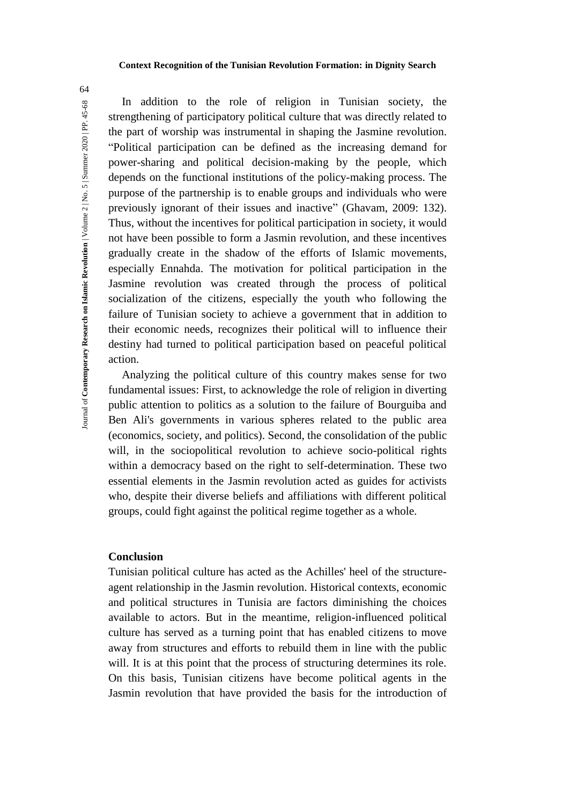In addition to the role of religion in Tunisian society, the strengthening of participatory political culture that was directly related to the part of worship was instrumental in shaping the Jasmine revolution. "Political participation can be defined as the increasing demand for power-sharing and political decision-making by the people, which depends on the functional institutions of the policy-making process. The purpose of the partnership is to enable groups and individuals who were previously ignorant of their issues and inactive" (Ghavam, 2009: 132). Thus, without the incentives for political participation in society, it would not have been possible to form a Jasmin revolution, and these incentives gradually create in the shadow of the efforts of Islamic movements, especially Ennahda. The motivation for political participation in the Jasmine revolution was created through the process of political socialization of the citizens, especially the youth who following the failure of Tunisian society to achieve a government that in addition to their economic needs, recognizes their political will to influence their destiny had turned to political participation based on peaceful political action.

Analyzing the political culture of this country makes sense for two fundamental issues: First, to acknowledge the role of religion in diverting public attention to politics as a solution to the failure of Bourguiba and Ben Ali's governments in various spheres related to the public area (economics, society, and politics). Second, the consolidation of the public will, in the sociopolitical revolution to achieve socio-political rights within a democracy based on the right to self-determination. These two essential elements in the Jasmin revolution acted as guides for activists who, despite their diverse beliefs and affiliations with different political groups, could fight against the political regime together as a whole.

# **Conclusion**

Tunisian political culture has acted as the Achilles' heel of the structureagent relationship in the Jasmin revolution. Historical contexts, economic and political structures in Tunisia are factors diminishing the choices available to actors. But in the meantime, religion-influenced political culture has served as a turning point that has enabled citizens to move away from structures and efforts to rebuild them in line with the public will. It is at this point that the process of structuring determines its role. On this basis, Tunisian citizens have become political agents in the Jasmin revolution that have provided the basis for the introduction of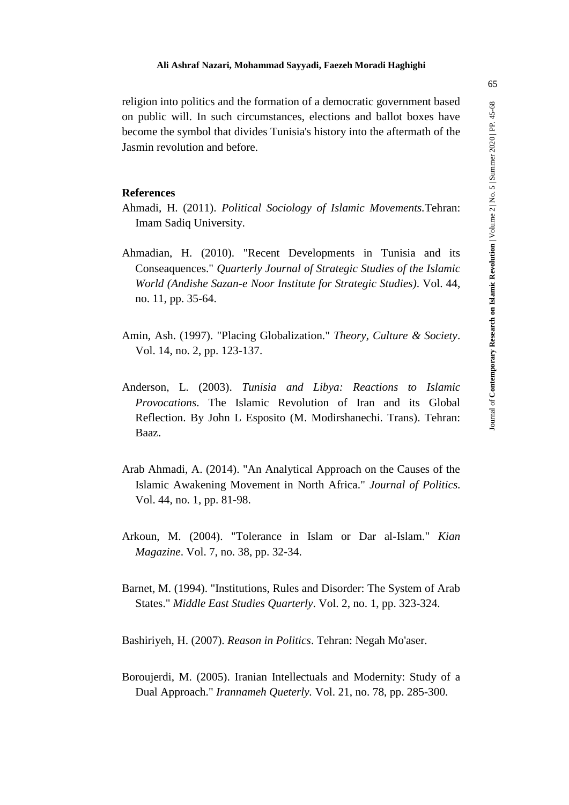religion into politics and the formation of a democratic government based on public will. In such circumstances, elections and ballot boxes have become the symbol that divides Tunisia's history into the aftermath of the Jasmin revolution and before.

# **References**

- Ahmadi, H. (2011). *Political Sociology of Islamic Movements.*Tehran: Imam Sadiq University.
- Ahmadian, H. (2010). "Recent Developments in Tunisia and its Conseaquences." *Quarterly Journal of Strategic Studies of the Islamic World (Andishe Sazan-e Noor Institute for Strategic Studies)*. Vol. 44, no. 11, pp. 35-64.
- Amin, Ash. (1997). "Placing Globalization." *Theory, Culture & Society*. Vol. 14, no. 2, pp. 123-137.
- Anderson, L. (2003). *Tunisia and Libya: Reactions to Islamic Provocations*. The Islamic Revolution of Iran and its Global Reflection. By John L Esposito (M. Modirshanechi. Trans). Tehran: Baaz.
- Arab Ahmadi, A. (2014). "An Analytical Approach on the Causes of the Islamic Awakening Movement in North Africa." *Journal of Politics.* Vol. 44, no. 1, pp. 81-98.
- Arkoun, M. (2004). "Tolerance in Islam or Dar al-Islam." *Kian Magazine*. Vol. 7, no. 38, pp. 32-34.
- Barnet, M. (1994). "Institutions, Rules and Disorder: The System of Arab States." *Middle East Studies Quarterly*. Vol. 2, no. 1, pp. 323-324.

Bashiriyeh, H. (2007). *Reason in Politics*. Tehran: Negah Mo'aser.

Boroujerdi, M. (2005). Iranian Intellectuals and Modernity: Study of a Dual Approach." *Irannameh Queterly.* Vol. 21, no. 78, pp. 285-300.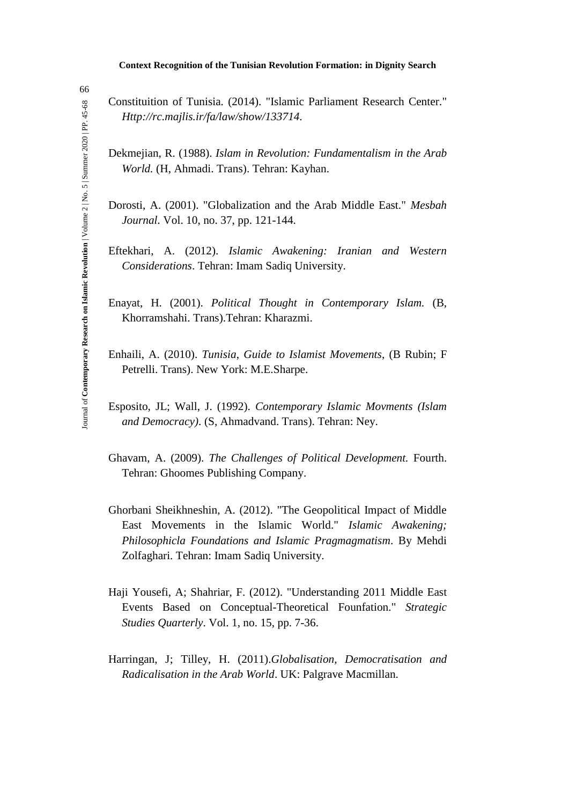Constituition of Tunisia*.* (2014). "Islamic Parliament Research Center." *Http://rc.majlis.ir/fa/law/show/133714.*

- Dekmejian, R. (1988). *Islam in Revolution: Fundamentalism in the Arab World.* (H, Ahmadi. Trans). Tehran: Kayhan.
- Dorosti, A. (2001). "Globalization and the Arab Middle East." *Mesbah Journal.* Vol. 10, no. 37, pp. 121-144.
- Eftekhari, A. (2012). *Islamic Awakening: Iranian and Western Considerations*. Tehran: Imam Sadiq University.
- Enayat, H. (2001). *Political Thought in Contemporary Islam.* (B, Khorramshahi. Trans).Tehran: Kharazmi.
- Enhaili, A. (2010). *Tunisia*, *Guide to Islamist Movements*, (B Rubin; F Petrelli. Trans). New York: M.E.Sharpe.
- Esposito, JL; Wall, J. (1992). *Contemporary Islamic Movments (Islam and Democracy)*. (S, Ahmadvand. Trans). Tehran: Ney.
- Ghavam, A. (2009). *The Challenges of Political Development.* Fourth. Tehran: Ghoomes Publishing Company.
- Ghorbani Sheikhneshin, A. (2012). "The Geopolitical Impact of Middle East Movements in the Islamic World." *Islamic Awakening; Philosophicla Foundations and Islamic Pragmagmatism*. By Mehdi Zolfaghari. Tehran: Imam Sadiq University.
- Haji Yousefi, A; Shahriar, F. (2012). "Understanding 2011 Middle East Events Based on Conceptual-Theoretical Founfation." *Strategic Studies Quarterly*. Vol. 1, no. 15, pp. 7-36.
- Harringan, J; Tilley, H. (2011).*Globalisation, Democratisation and Radicalisation in the Arab World*. UK: Palgrave Macmillan.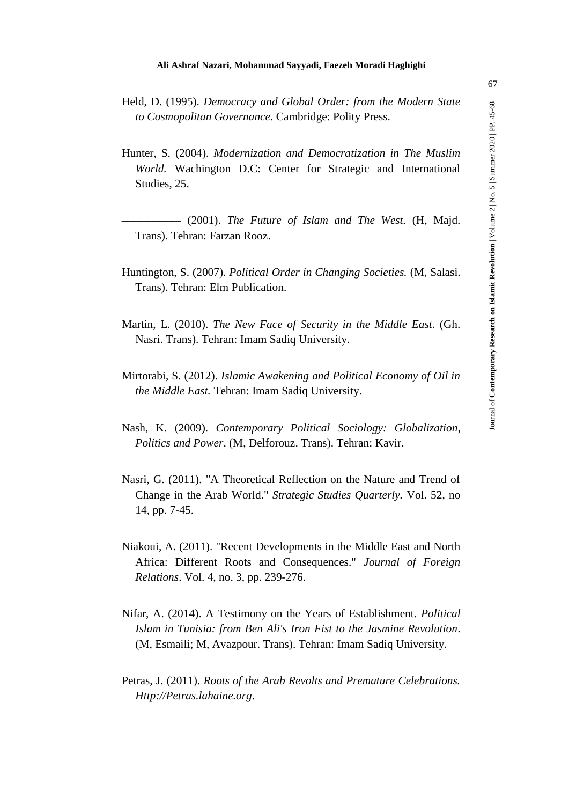- Held, D. (1995). *Democracy and Global Order: from the Modern State to Cosmopolitan Governance.* Cambridge: Polity Press.
- Hunter, S. (2004). *Modernization and Democratization in The Muslim World.* Wachington D.C: Center for Strategic and International Studies, 25.

 $-$  (2001). The Future of Islam and The West. (H, Majd. Trans). Tehran: Farzan Rooz.

- Huntington, S. (2007). *Political Order in Changing Societies.* (M, Salasi. Trans). Tehran: Elm Publication.
- Martin, L. (2010). *The New Face of Security in the Middle East*. (Gh. Nasri. Trans). Tehran: Imam Sadiq University.
- Mirtorabi, S. (2012). *Islamic Awakening and Political Economy of Oil in the Middle East.* Tehran: Imam Sadiq University.
- Nash, K. (2009). *Contemporary Political Sociology: Globalization, Politics and Power*. (M, Delforouz. Trans). Tehran: Kavir.
- Nasri, G. (2011). "A Theoretical Reflection on the Nature and Trend of Change in the Arab World." *Strategic Studies Quarterly.* Vol. 52, no 14, pp. 7-45.
- Niakoui, A. (2011). "Recent Developments in the Middle East and North Africa: Different Roots and Consequences." *Journal of Foreign Relations*. Vol. 4, no. 3, pp. 239-276.
- Nifar, A. (2014). A Testimony on the Years of Establishment. *Political Islam in Tunisia: from Ben Ali's Iron Fist to the Jasmine Revolution*. (M, Esmaili; M, Avazpour. Trans). Tehran: Imam Sadiq University.
- Petras, J. (2011). *Roots of the Arab Revolts and Premature Celebrations. Http://Petras.lahaine.org*.

Journal of **Contemporary Research on Islamic Revolution** | Volume 2 | No. 5 | Summer 2020 | PP. 45-

Journal of Contemporary Research on Islamic Revolution | Volume 2 | No. 5 | Summer 2020 | PP. 45-68